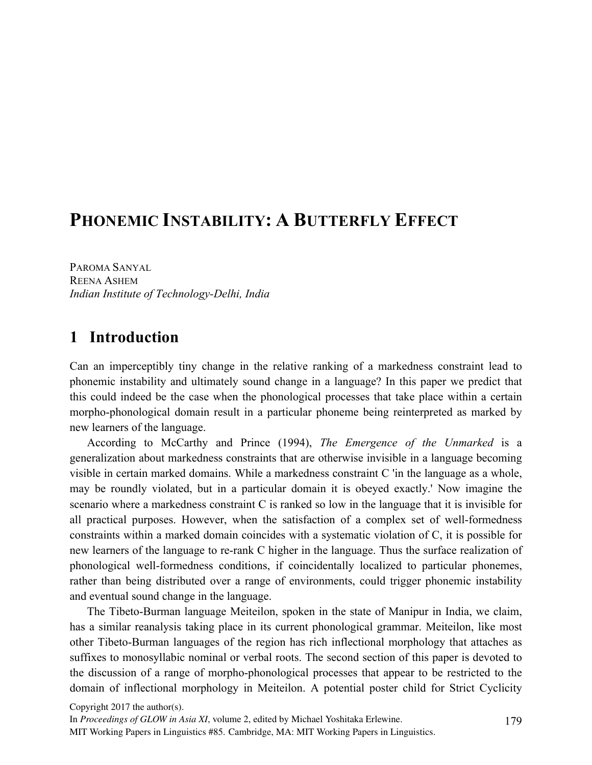# **PHONEMIC INSTABILITY: A BUTTERFLY EFFECT**

PAROMA SANYAL REENA ASHEM *Indian Institute of Technology-Delhi, India*

# **1** Introduction

Can an imperceptibly tiny change in the relative ranking of a markedness constraint lead to phonemic instability and ultimately sound change in a language? In this paper we predict that this could indeed be the case when the phonological processes that take place within a certain morpho-phonological domain result in a particular phoneme being reinterpreted as marked by new learners of the language.

According to McCarthy and Prince (1994), *The Emergence of the Unmarked* is a generalization about markedness constraints that are otherwise invisible in a language becoming visible in certain marked domains. While a markedness constraint C 'in the language as a whole, may be roundly violated, but in a particular domain it is obeyed exactly.' Now imagine the scenario where a markedness constraint C is ranked so low in the language that it is invisible for all practical purposes. However, when the satisfaction of a complex set of well-formedness constraints within a marked domain coincides with a systematic violation of C, it is possible for new learners of the language to re-rank C higher in the language. Thus the surface realization of phonological well-formedness conditions, if coincidentally localized to particular phonemes, rather than being distributed over a range of environments, could trigger phonemic instability and eventual sound change in the language.

The Tibeto-Burman language Meiteilon, spoken in the state of Manipur in India, we claim, has a similar reanalysis taking place in its current phonological grammar. Meiteilon, like most other Tibeto-Burman languages of the region has rich inflectional morphology that attaches as suffixes to monosyllabic nominal or verbal roots. The second section of this paper is devoted to the discussion of a range of morpho-phonological processes that appear to be restricted to the domain of inflectional morphology in Meiteilon. A potential poster child for Strict Cyclicity

Copyright 2017 the author(s).

In *Proceedings of GLOW in Asia XI*, volume 2, edited by Michael Yoshitaka Erlewine.

MIT Working Papers in Linguistics #85. Cambridge, MA: MIT Working Papers in Linguistics.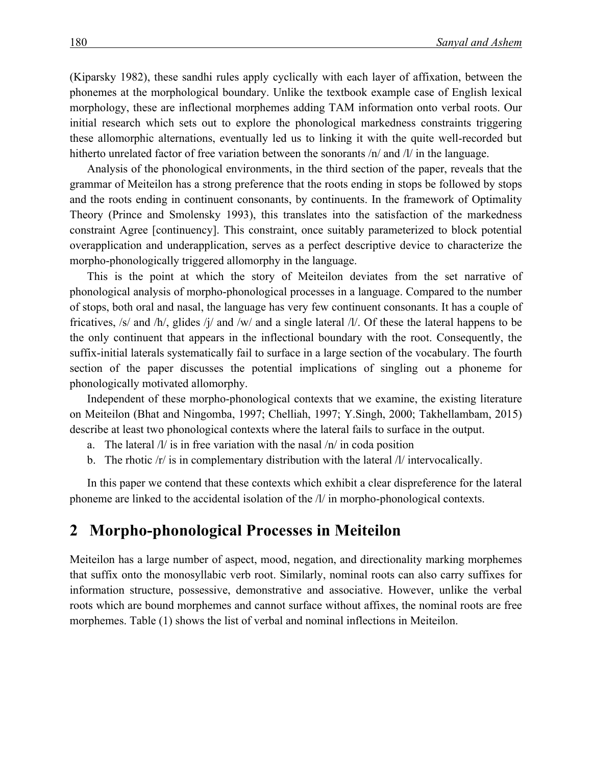(Kiparsky 1982), these sandhi rules apply cyclically with each layer of affixation, between the phonemes at the morphological boundary. Unlike the textbook example case of English lexical morphology, these are inflectional morphemes adding TAM information onto verbal roots. Our initial research which sets out to explore the phonological markedness constraints triggering these allomorphic alternations, eventually led us to linking it with the quite well-recorded but hitherto unrelated factor of free variation between the sonorants  $/n/$  and  $1/$  in the language.

Analysis of the phonological environments, in the third section of the paper, reveals that the grammar of Meiteilon has a strong preference that the roots ending in stops be followed by stops and the roots ending in continuent consonants, by continuents. In the framework of Optimality Theory (Prince and Smolensky 1993), this translates into the satisfaction of the markedness constraint Agree [continuency]. This constraint, once suitably parameterized to block potential overapplication and underapplication, serves as a perfect descriptive device to characterize the morpho-phonologically triggered allomorphy in the language.

This is the point at which the story of Meiteilon deviates from the set narrative of phonological analysis of morpho-phonological processes in a language. Compared to the number of stops, both oral and nasal, the language has very few continuent consonants. It has a couple of fricatives, /s/ and /h/, glides /j/ and /w/ and a single lateral /l/. Of these the lateral happens to be the only continuent that appears in the inflectional boundary with the root. Consequently, the suffix-initial laterals systematically fail to surface in a large section of the vocabulary. The fourth section of the paper discusses the potential implications of singling out a phoneme for phonologically motivated allomorphy.

Independent of these morpho-phonological contexts that we examine, the existing literature on Meiteilon (Bhat and Ningomba, 1997; Chelliah, 1997; Y.Singh, 2000; Takhellambam, 2015) describe at least two phonological contexts where the lateral fails to surface in the output.

- a. The lateral /l/ is in free variation with the nasal /n/ in coda position
- b. The rhotic /r/ is in complementary distribution with the lateral /l/ intervocalically.

In this paper we contend that these contexts which exhibit a clear dispreference for the lateral phoneme are linked to the accidental isolation of the /l/ in morpho-phonological contexts.

#### **2xxMorpho-phonological Processes in Meiteilon**

Meiteilon has a large number of aspect, mood, negation, and directionality marking morphemes that suffix onto the monosyllabic verb root. Similarly, nominal roots can also carry suffixes for information structure, possessive, demonstrative and associative. However, unlike the verbal roots which are bound morphemes and cannot surface without affixes, the nominal roots are free morphemes. Table (1) shows the list of verbal and nominal inflections in Meiteilon.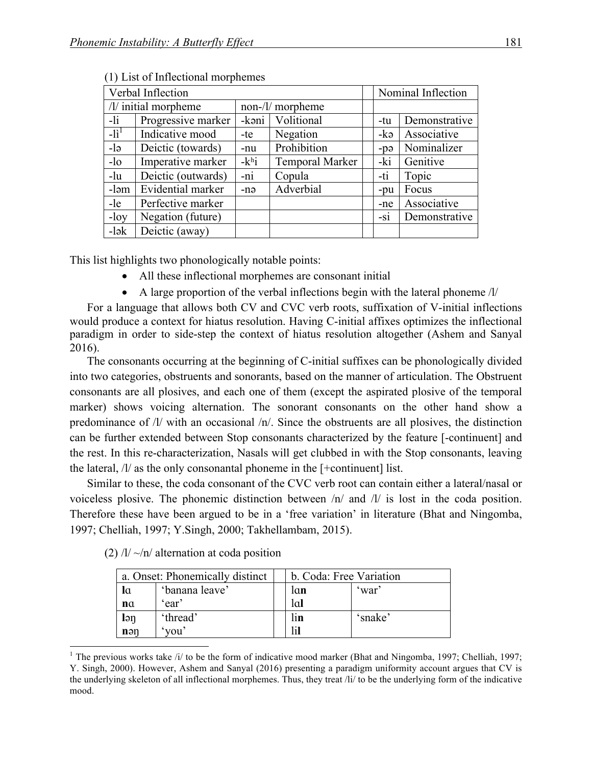| Verbal Inflection |                      |         |                  |       | Nominal Inflection |  |
|-------------------|----------------------|---------|------------------|-------|--------------------|--|
|                   | /l/ initial morpheme |         | non-/l/ morpheme |       |                    |  |
| $-li$             | Progressive marker   | $-k9ni$ | Volitional       | -tu   | Demonstrative      |  |
| $-li^1$           | Indicative mood      | -te     | Negation         | -kə   | Associative        |  |
| $-le$             | Deictic (towards)    | -nu     | Prohibition      | $-pθ$ | Nominalizer        |  |
| $-lo$             | Imperative marker    | $-khi$  | Temporal Marker  | -ki   | Genitive           |  |
| $-lu$             | Deictic (outwards)   | -ni     | Copula           | -ti   | Topic              |  |
| -ləm              | Evidential marker    | -nə     | Adverbial        | -pu   | Focus              |  |
| -le               | Perfective marker    |         |                  | -ne   | Associative        |  |
| $-$ loy           | Negation (future)    |         |                  | $-si$ | Demonstrative      |  |
| $-$ lək           | Deictic (away)       |         |                  |       |                    |  |

(1) List of Inflectional morphemes

This list highlights two phonologically notable points:

- All these inflectional morphemes are consonant initial
- A large proportion of the verbal inflections begin with the lateral phoneme /l/

For a language that allows both CV and CVC verb roots, suffixation of V-initial inflections would produce a context for hiatus resolution. Having C-initial affixes optimizes the inflectional paradigm in order to side-step the context of hiatus resolution altogether (Ashem and Sanyal 2016).

The consonants occurring at the beginning of C-initial suffixes can be phonologically divided into two categories, obstruents and sonorants, based on the manner of articulation. The Obstruent consonants are all plosives, and each one of them (except the aspirated plosive of the temporal marker) shows voicing alternation. The sonorant consonants on the other hand show a predominance of /l/ with an occasional /n/. Since the obstruents are all plosives, the distinction can be further extended between Stop consonants characterized by the feature [-continuent] and the rest. In this re-characterization, Nasals will get clubbed in with the Stop consonants, leaving the lateral, /l/ as the only consonantal phoneme in the [+continuent] list.

Similar to these, the coda consonant of the CVC verb root can contain either a lateral/nasal or voiceless plosive. The phonemic distinction between /n/ and /l/ is lost in the coda position. Therefore these have been argued to be in a 'free variation' in literature (Bhat and Ningomba, 1997; Chelliah, 1997; Y.Singh, 2000; Takhellambam, 2015).

|                 | a. Onset: Phonemically distinct | b. Coda: Free Variation |         |  |
|-----------------|---------------------------------|-------------------------|---------|--|
| la              | 'banana leave'                  | lan                     | 'war'   |  |
| n <sub>a</sub>  | 'ear'                           | lal                     |         |  |
| $\mathsf{I}$ ən | 'thread'                        | lin                     | 'snake' |  |
| n <sub>en</sub> | vou'                            |                         |         |  |

(2)  $/l / \sim/n/$  alternation at coda position

<sup>&</sup>lt;sup>1</sup> The previous works take /i/ to be the form of indicative mood marker (Bhat and Ningomba, 1997; Chelliah, 1997; Y. Singh, 2000). However, Ashem and Sanyal (2016) presenting a paradigm uniformity account argues that CV is the underlying skeleton of all inflectional morphemes. Thus, they treat /li/ to be the underlying form of the indicative mood.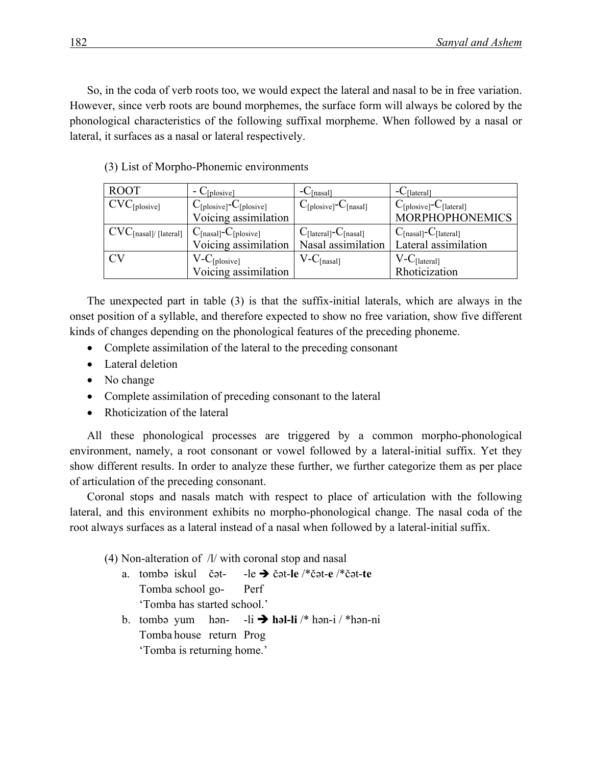So, in the coda of verb roots too, we would expect the lateral and nasal to be in free variation. However, since verb roots are bound morphemes, the surface form will always be colored by the phonological characteristics of the following suffixal morpheme. When followed by a nasal or lateral, it surfaces as a nasal or lateral respectively.

| <b>ROOT</b>                                                                                               | $-C_{[plosive]}$                                | $-C_{[nasal]}$                                | $-C_{[lateral]}$                                |
|-----------------------------------------------------------------------------------------------------------|-------------------------------------------------|-----------------------------------------------|-------------------------------------------------|
| $CVC_{[plosive]}$                                                                                         | $C_{\text{[plosive]}}$ - $C_{\text{[plosive]}}$ | $C_{\text{[plosive]}}$ - $C_{\text{[nasal]}}$ | $C_{\text{[plosive]}}$ - $C_{\text{[lateral]}}$ |
|                                                                                                           | Voicing assimilation                            |                                               | <b>MORPHOPHONEMICS</b>                          |
| $\text{CVC}_{\text{[nasal]}/\text{[lateral]}} \mid \text{C}_{\text{[nasal]}}\text{-C}_{\text{[plosive]}}$ |                                                 | $C_{\text{[lateral]}}$ - $C_{\text{[nasal]}}$ | $C_{[nasal]}$ - $C_{[lateral]}$                 |
|                                                                                                           | Voicing assimilation                            | Nasal assimilation                            | Lateral assimilation                            |
| СV                                                                                                        | $V-C_{[plosive]}$                               | $V-C_{[nasal]}$                               | $V-C_{\text{[lateral]}}$                        |
|                                                                                                           | Voicing assimilation                            |                                               | Rhoticization                                   |

(3) List of Morpho-Phonemic environments

The unexpected part in table (3) is that the suffix-initial laterals, which are always in the onset position of a syllable, and therefore expected to show no free variation, show five different kinds of changes depending on the phonological features of the preceding phoneme.

- Complete assimilation of the lateral to the preceding consonant
- Lateral deletion
- No change
- Complete assimilation of preceding consonant to the lateral
- Rhoticization of the lateral

All these phonological processes are triggered by a common morpho-phonological environment, namely, a root consonant or vowel followed by a lateral-initial suffix. Yet they show different results. In order to analyze these further, we further categorize them as per place of articulation of the preceding consonant.

Coronal stops and nasals match with respect to place of articulation with the following lateral, and this environment exhibits no morpho-phonological change. The nasal coda of the root always surfaces as a lateral instead of a nasal when followed by a lateral-initial suffix.

- (4) Non-alteration of /l/ with coronal stop and nasal
	- a. tombə iskul čət- -le è čət-**le** /\*čət-**e** /\*čət-**te** Tomba school go- Perf 'Tomba has started school.'
	- b. tombə yum hən-  $-li \rightarrow$  həl-li /\* hən-i / \*hən-ni Tomba house return Prog 'Tomba is returning home.'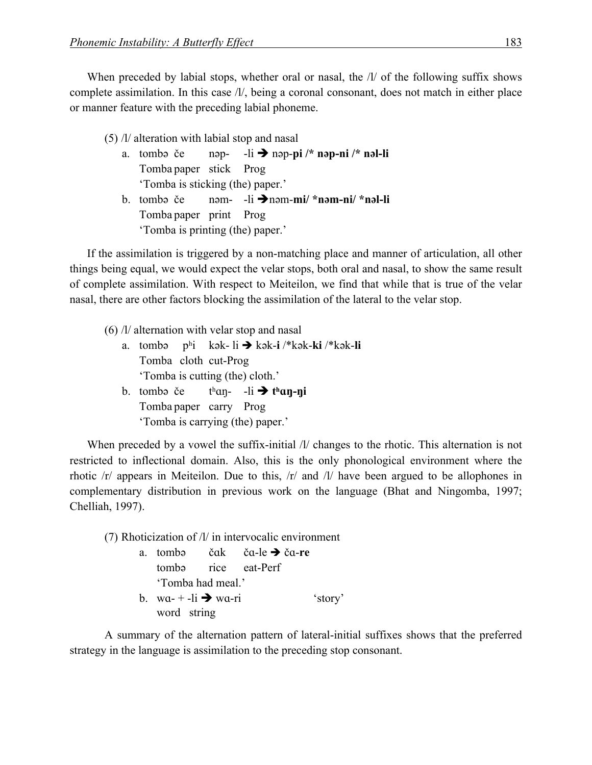When preceded by labial stops, whether oral or nasal, the  $\Lambda$  of the following suffix shows complete assimilation. In this case /l/, being a coronal consonant, does not match in either place or manner feature with the preceding labial phoneme.

(5) /l/ alteration with labial stop and nasal a. tombə če nəp- -li è nəp-**pi /\* nəp-ni /\* nəl-li** Tomba paper stick Prog 'Tomba is sticking (the) paper.' b. tombə če nəm- -li ènəm-**mi/ \*nəm-ni/ \*nəl-li** Tomba paper print Prog 'Tomba is printing (the) paper.'

If the assimilation is triggered by a non-matching place and manner of articulation, all other things being equal, we would expect the velar stops, both oral and nasal, to show the same result of complete assimilation. With respect to Meiteilon, we find that while that is true of the velar nasal, there are other factors blocking the assimilation of the lateral to the velar stop.

- (6) /l/ alternation with velar stop and nasal
	- a. tombə pʰi kək- li è kək-**i** /\*kək-**ki** /\*kək-**li** Tomba cloth cut-Prog 'Tomba is cutting (the) cloth.' b. tomba če  $t<sup>h</sup>$ an- -li  $\rightarrow$   $t<sup>h</sup>$ an-ni
	- Tomba paper carry Prog 'Tomba is carrying (the) paper.'

When preceded by a vowel the suffix-initial /l/ changes to the rhotic. This alternation is not restricted to inflectional domain. Also, this is the only phonological environment where the rhotic /r/ appears in Meiteilon. Due to this, /r/ and /l/ have been argued to be allophones in complementary distribution in previous work on the language (Bhat and Ningomba, 1997; Chelliah, 1997).

(7) Rhoticization of /l/ in intervocalic environment a. tombə čɑk čɑ-le è čɑ-**re** tombə rice eat-Perf 'Tomba had meal.' b. wa- + -li  $\rightarrow$  wa-ri 'story' word string

A summary of the alternation pattern of lateral-initial suffixes shows that the preferred strategy in the language is assimilation to the preceding stop consonant.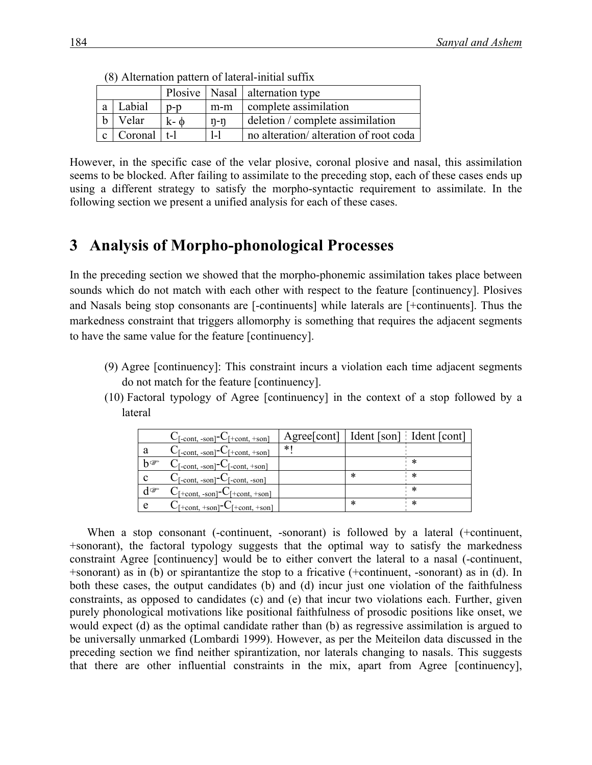|             |                       |            |         | Plosive   Nasal   alternation type    |
|-------------|-----------------------|------------|---------|---------------------------------------|
| a           | Labial                | $D-D$      | $m-m$   | complete assimilation                 |
| $\mathbf b$ | Velar                 | $k - \phi$ | $n-n$   | deletion / complete assimilation      |
|             | $ c $ Coronal $ t-1 $ |            | $1 - 1$ | no alteration/alteration of root coda |

(8) Alternation pattern of lateral-initial suffix

However, in the specific case of the velar plosive, coronal plosive and nasal, this assimilation seems to be blocked. After failing to assimilate to the preceding stop, each of these cases ends up using a different strategy to satisfy the morpho-syntactic requirement to assimilate. In the following section we present a unified analysis for each of these cases.

### **3xxAnalysis of Morpho-phonological Processes**

In the preceding section we showed that the morpho-phonemic assimilation takes place between sounds which do not match with each other with respect to the feature [continuency]. Plosives and Nasals being stop consonants are [-continuents] while laterals are [+continuents]. Thus the markedness constraint that triggers allomorphy is something that requires the adjacent segments to have the same value for the feature [continuency].

- (9) Agree [continuency]: This constraint incurs a violation each time adjacent segments do not match for the feature [continuency].
- (10) Factoral typology of Agree [continuency] in the context of a stop followed by a lateral

|                    | $C_{[-cont, -son]}$ - $C_{[+cont, +son]}$                                                   | Agree [cont]   Ident [son] Ident [cont] |   |   |
|--------------------|---------------------------------------------------------------------------------------------|-----------------------------------------|---|---|
| a                  | $C_{[-cont, -son]}$ - $C_{[+cont, +son]}$                                                   | * I                                     |   |   |
| $b^{\circledcirc}$ | $C_{[-cont, -son]}$ - $C_{[-cont, +son]}$                                                   |                                         |   | ∗ |
| $\mathbf c$        | $C_{[-cont, -son]}$ - $C_{[-cont, -son]}$                                                   |                                         | * | * |
| $d^{\sigma}$       | $C_{[+cont, -son]}$ - $C_{[+cont, +son]}$                                                   |                                         |   | * |
| e                  | $C_{\lceil +\text{cont}, +\text{son}\rceil}$ - $C_{\lceil +\text{cont}, +\text{son}\rceil}$ |                                         | * | ∗ |

When a stop consonant (-continuent, -sonorant) is followed by a lateral (+continuent, +sonorant), the factoral typology suggests that the optimal way to satisfy the markedness constraint Agree [continuency] would be to either convert the lateral to a nasal (-continuent, +sonorant) as in (b) or spirantantize the stop to a fricative (+continuent, -sonorant) as in (d). In both these cases, the output candidates (b) and (d) incur just one violation of the faithfulness constraints, as opposed to candidates (c) and (e) that incur two violations each. Further, given purely phonological motivations like positional faithfulness of prosodic positions like onset, we would expect (d) as the optimal candidate rather than (b) as regressive assimilation is argued to be universally unmarked (Lombardi 1999). However, as per the Meiteilon data discussed in the preceding section we find neither spirantization, nor laterals changing to nasals. This suggests that there are other influential constraints in the mix, apart from Agree [continuency],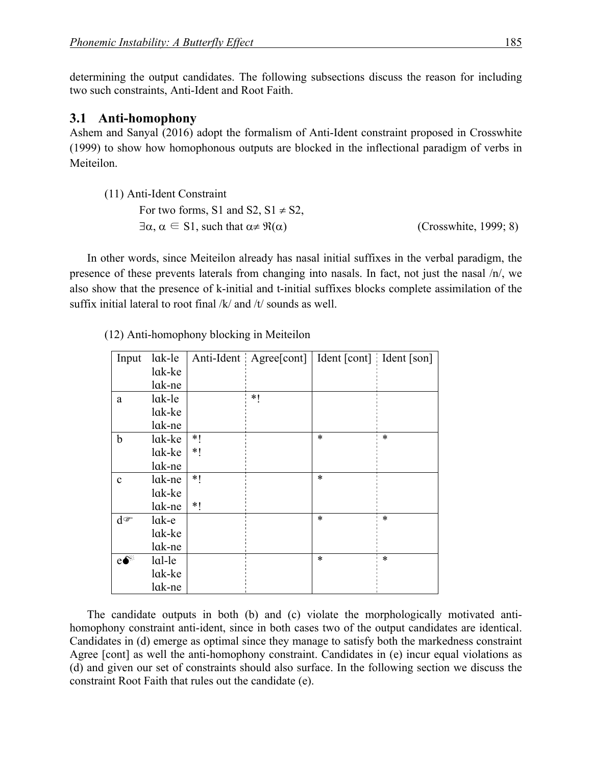determining the output candidates. The following subsections discuss the reason for including two such constraints, Anti-Ident and Root Faith.

#### **3.1 Anti-homophony**

Ashem and Sanyal (2016) adopt the formalism of Anti-Ident constraint proposed in Crosswhite (1999) to show how homophonous outputs are blocked in the inflectional paradigm of verbs in Meiteilon.

| (11) Anti-Ident Constraint                                            |                       |
|-----------------------------------------------------------------------|-----------------------|
| For two forms, S1 and S2, $S1 \neq S2$ ,                              |                       |
| $\exists \alpha, \alpha \in S1$ , such that $\alpha \neq \Re(\alpha)$ | (Crosswhite, 1999; 8) |

In other words, since Meiteilon already has nasal initial suffixes in the verbal paradigm, the presence of these prevents laterals from changing into nasals. In fact, not just the nasal /n/, we also show that the presence of k-initial and t-initial suffixes blocks complete assimilation of the suffix initial lateral to root final /k/ and /t/ sounds as well.

| Input             | lak-le  |      | Anti-Ident Agree[cont] | Ident [cont] Ident [son] |        |
|-------------------|---------|------|------------------------|--------------------------|--------|
|                   | lak-ke  |      |                        |                          |        |
|                   | lak-ne  |      |                        |                          |        |
| a                 | lak-le  |      | $*1$                   |                          |        |
|                   | lak-ke  |      |                        |                          |        |
|                   | lak-ne  |      |                        |                          |        |
| b                 | lak-ke  | $*1$ |                        | $\ast$                   | $\ast$ |
|                   | lak-ke  | *1   |                        |                          |        |
|                   | lak-ne  |      |                        |                          |        |
| $\mathbf c$       | lak-ne  | $*$  |                        | $\ast$                   |        |
|                   | lak-ke  |      |                        |                          |        |
|                   | lak-ne  | $*1$ |                        |                          |        |
| $d^{\circledast}$ | $lak-e$ |      |                        | $\ast$                   | $\ast$ |
|                   | lak-ke  |      |                        |                          |        |
|                   | lak-ne  |      |                        |                          |        |
| $e^{\bullet}$     | lal-le  |      |                        | *                        | $\ast$ |
|                   | lak-ke  |      |                        |                          |        |
|                   | lak-ne  |      |                        |                          |        |

(12) Anti-homophony blocking in Meiteilon

The candidate outputs in both (b) and (c) violate the morphologically motivated antihomophony constraint anti-ident, since in both cases two of the output candidates are identical. Candidates in (d) emerge as optimal since they manage to satisfy both the markedness constraint Agree [cont] as well the anti-homophony constraint. Candidates in (e) incur equal violations as (d) and given our set of constraints should also surface. In the following section we discuss the constraint Root Faith that rules out the candidate (e).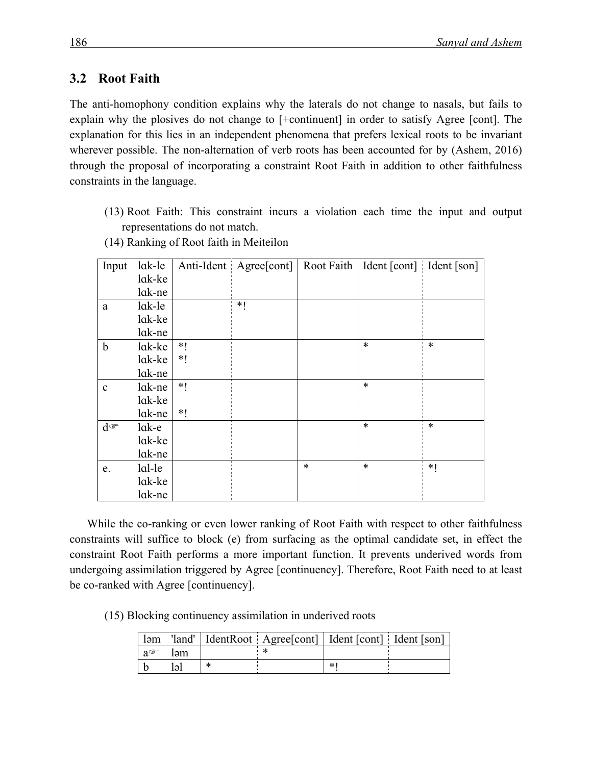#### **3.2** Root Faith

The anti-homophony condition explains why the laterals do not change to nasals, but fails to explain why the plosives do not change to [+continuent] in order to satisfy Agree [cont]. The explanation for this lies in an independent phenomena that prefers lexical roots to be invariant wherever possible. The non-alternation of verb roots has been accounted for by (Ashem, 2016) through the proposal of incorporating a constraint Root Faith in addition to other faithfulness constraints in the language.

(13) Root Faith: This constraint incurs a violation each time the input and output representations do not match.

| Input        | lak-le |      | Anti-Ident Agree[cont] |        | Root Faith Ident [cont] Ident [son] |        |
|--------------|--------|------|------------------------|--------|-------------------------------------|--------|
|              | lak-ke |      |                        |        |                                     |        |
|              | lak-ne |      |                        |        |                                     |        |
| a            | lak-le |      | *1                     |        |                                     |        |
|              | lak-ke |      |                        |        |                                     |        |
|              | lak-ne |      |                        |        |                                     |        |
| $\mathbf b$  | lak-ke | *1   |                        |        | $\ast$                              | $\ast$ |
|              | lak-ke | *1   |                        |        |                                     |        |
|              | lak-ne |      |                        |        |                                     |        |
| $\mathbf{c}$ | lak-ne | *    |                        |        | $\ast$                              |        |
|              | lak-ke |      |                        |        |                                     |        |
|              | lak-ne | $*1$ |                        |        |                                     |        |
| $d^{\sigma}$ | lak-e  |      |                        |        | $\ast$                              | $\ast$ |
|              | lak-ke |      |                        |        |                                     |        |
|              | lak-ne |      |                        |        |                                     |        |
| e.           | lal-le |      |                        | $\ast$ | $\ast$                              | *1     |
|              | lak-ke |      |                        |        |                                     |        |
|              | lak-ne |      |                        |        |                                     |        |

(14) Ranking of Root faith in Meiteilon

While the co-ranking or even lower ranking of Root Faith with respect to other faithfulness constraints will suffice to block (e) from surfacing as the optimal candidate set, in effect the constraint Root Faith performs a more important function. It prevents underived words from undergoing assimilation triggered by Agree [continuency]. Therefore, Root Faith need to at least be co-ranked with Agree [continuency].

(15) Blocking continuency assimilation in underived roots

|                 |     |   | ləm 'land'   IdentRoot   Agree [cont]   Ident [cont]   Ident [son] |    |  |
|-----------------|-----|---|--------------------------------------------------------------------|----|--|
| $a \mathcal{F}$ | ləm |   |                                                                    |    |  |
|                 | ləl | ∗ |                                                                    | *′ |  |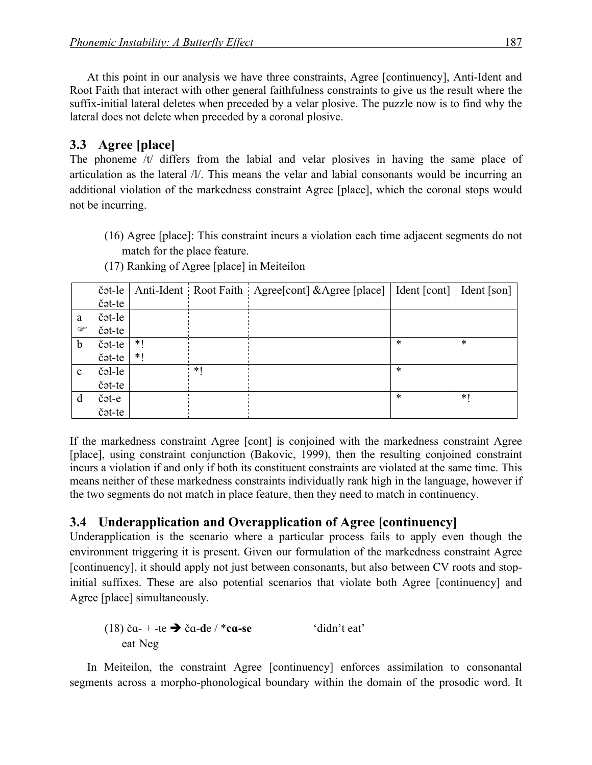At this point in our analysis we have three constraints, Agree [continuency], Anti-Ident and Root Faith that interact with other general faithfulness constraints to give us the result where the suffix-initial lateral deletes when preceded by a velar plosive. The puzzle now is to find why the lateral does not delete when preceded by a coronal plosive.

### **3.3** Agree [place]

The phoneme /t/ differs from the labial and velar plosives in having the same place of articulation as the lateral /l/. This means the velar and labial consonants would be incurring an additional violation of the markedness constraint Agree [place], which the coronal stops would not be incurring.

(16) Agree [place]: This constraint incurs a violation each time adjacent segments do not match for the place feature.

|              | čət-le |      |    | Anti-Ident Root Faith Agree [cont] & Agree [place]   Ident [cont] Ident [son] |        |        |
|--------------|--------|------|----|-------------------------------------------------------------------------------|--------|--------|
|              | čət-te |      |    |                                                                               |        |        |
| a            | čət-le |      |    |                                                                               |        |        |
| ☞            | čət-te |      |    |                                                                               |        |        |
| b            | čət-te | $*1$ |    |                                                                               | $\ast$ | $\ast$ |
|              | čət-te | $*1$ |    |                                                                               |        |        |
| $\mathbf{c}$ | čəl-le |      | *1 |                                                                               | $\ast$ |        |
|              | čət-te |      |    |                                                                               |        |        |
| d            | čət-e  |      |    |                                                                               | $\ast$ | $*1$   |
|              | čət-te |      |    |                                                                               |        |        |

(17) Ranking of Agree [place] in Meiteilon

If the markedness constraint Agree [cont] is conjoined with the markedness constraint Agree [place], using constraint conjunction (Bakovic, 1999), then the resulting conjoined constraint incurs a violation if and only if both its constituent constraints are violated at the same time. This means neither of these markedness constraints individually rank high in the language, however if the two segments do not match in place feature, then they need to match in continuency.

## **3.4 Underapplication and Overapplication of Agree [continuency]**

Underapplication is the scenario where a particular process fails to apply even though the environment triggering it is present. Given our formulation of the markedness constraint Agree [continuency], it should apply not just between consonants, but also between CV roots and stopinitial suffixes. These are also potential scenarios that violate both Agree [continuency] and Agree [place] simultaneously.

(18) 
$$
\text{ca-} + \text{-te} \rightarrow \text{ca-de} / * \text{ca-se}
$$
 'didn't eat'   
eat Neg

In Meiteilon, the constraint Agree [continuency] enforces assimilation to consonantal segments across a morpho-phonological boundary within the domain of the prosodic word. It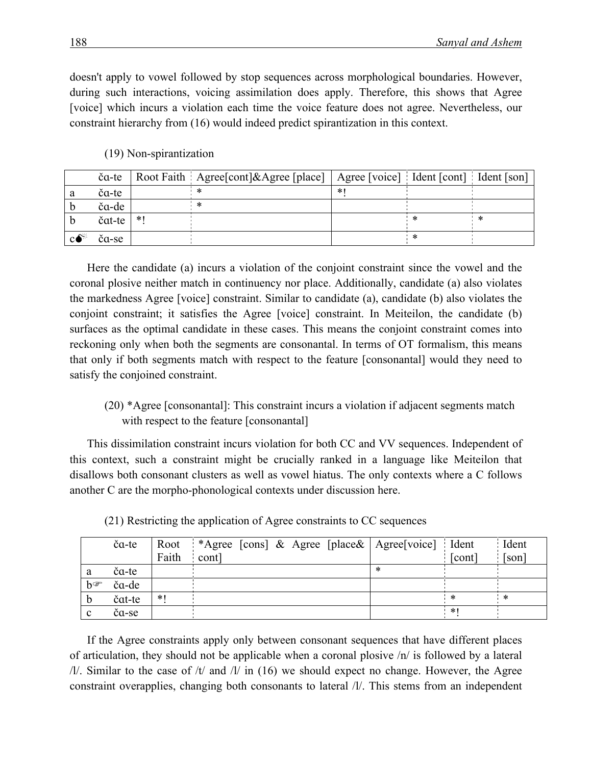doesn't apply to vowel followed by stop sequences across morphological boundaries. However, during such interactions, voicing assimilation does apply. Therefore, this shows that Agree [voice] which incurs a violation each time the voice feature does not agree. Nevertheless, our constraint hierarchy from (16) would indeed predict spirantization in this context.

| (19) Non-spirantization |  |  |
|-------------------------|--|--|
|                         |  |  |

|             | ča-te  |     | Root Faith Agree [cont]&Agree [place]   Agree [voice] Ident [cont] Ident [son] |        |  |
|-------------|--------|-----|--------------------------------------------------------------------------------|--------|--|
|             | ča-te  |     |                                                                                | $\ast$ |  |
|             | ča-de  |     |                                                                                |        |  |
|             | čat-te | * I |                                                                                |        |  |
| $c \bullet$ | čα-se  |     |                                                                                |        |  |

Here the candidate (a) incurs a violation of the conjoint constraint since the vowel and the coronal plosive neither match in continuency nor place. Additionally, candidate (a) also violates the markedness Agree [voice] constraint. Similar to candidate (a), candidate (b) also violates the conjoint constraint; it satisfies the Agree [voice] constraint. In Meiteilon, the candidate (b) surfaces as the optimal candidate in these cases. This means the conjoint constraint comes into reckoning only when both the segments are consonantal. In terms of OT formalism, this means that only if both segments match with respect to the feature [consonantal] would they need to satisfy the conjoined constraint.

#### (20) \*Agree [consonantal]: This constraint incurs a violation if adjacent segments match with respect to the feature [consonantal]

This dissimilation constraint incurs violation for both CC and VV sequences. Independent of this context, such a constraint might be crucially ranked in a language like Meiteilon that disallows both consonant clusters as well as vowel hiatus. The only contexts where a C follows another C are the morpho-phonological contexts under discussion here.

|                  | ča-te  |       | Root *Agree [cons] & Agree [place&   Agree [voice] Ident |        |        | Ident                 |
|------------------|--------|-------|----------------------------------------------------------|--------|--------|-----------------------|
|                  |        | Faith | cont                                                     |        | [cont] | $\lceil$ son $\rceil$ |
| a                | ča-te  |       |                                                          | $\ast$ |        |                       |
| $h \circledcirc$ | ča-de  |       |                                                          |        |        |                       |
|                  | čat-te | $*1$  |                                                          |        | *      | ∗                     |
| C                | ča-se  |       |                                                          |        | $*1$   |                       |

(21) Restricting the application of Agree constraints to CC sequences

If the Agree constraints apply only between consonant sequences that have different places of articulation, they should not be applicable when a coronal plosive /n/ is followed by a lateral  $\frac{1}{\sqrt{2}}$ . Similar to the case of  $\frac{\pi}{4}$  and  $\frac{1}{\sqrt{2}}$  in (16) we should expect no change. However, the Agree constraint overapplies, changing both consonants to lateral /l/. This stems from an independent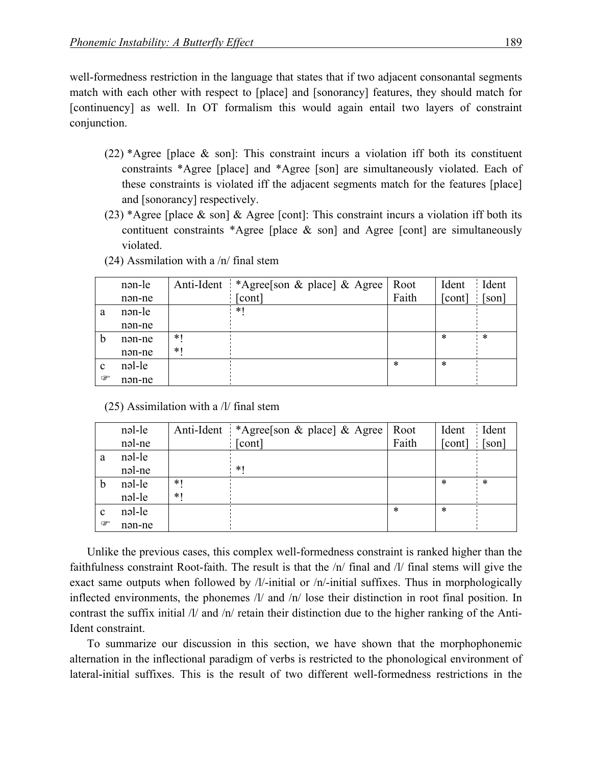well-formedness restriction in the language that states that if two adjacent consonantal segments match with each other with respect to [place] and [sonorancy] features, they should match for [continuency] as well. In OT formalism this would again entail two layers of constraint conjunction.

- (22) \*Agree [place & son]: This constraint incurs a violation iff both its constituent constraints \*Agree [place] and \*Agree [son] are simultaneously violated. Each of these constraints is violated iff the adjacent segments match for the features [place] and [sonorancy] respectively.
- (23) \*Agree [place  $\&$  son]  $\&$  Agree [cont]: This constraint incurs a violation iff both its contituent constraints \*Agree [place  $\&$  son] and Agree [cont] are simultaneously violated.

|             | nən-le | Anti-Ident | *Agree[son & place] & Agree | Root   | Ident  | Ident |
|-------------|--------|------------|-----------------------------|--------|--------|-------|
|             | nən-ne |            | [cont]                      | Faith  | [cont] | [son] |
| a           | nən-le |            | $*$ (                       |        |        |       |
|             | nən-ne |            |                             |        |        |       |
| b           | nən-ne | $*1$       |                             |        | *      | ∗     |
|             | nən-ne | $*1$       |                             |        |        |       |
| $\mathbf c$ | nəl-le |            |                             | $\ast$ | $\ast$ |       |
| ☞           | nən-ne |            |                             |        |        |       |

(24) Assmilation with a /n/ final stem

(25) Assimilation with a /l/ final stem

|               | nəl-le | Anti-Ident | *Agree[son & place] & Agree | Root   | Ident  | Ident  |
|---------------|--------|------------|-----------------------------|--------|--------|--------|
|               | nəl-ne |            | [cont]                      | Faith  | [cont] | [son]  |
| a             | nəl-le |            |                             |        |        |        |
|               | nəl-ne |            | $*1$                        |        |        |        |
| $\mathfrak b$ | nəl-le | $*1$       |                             |        | $\ast$ | $\ast$ |
|               | nəl-le | $*1$       |                             |        |        |        |
| $\mathbf c$   | nəl-le |            |                             | $\ast$ | $\ast$ |        |
| ☞             | nən-ne |            |                             |        |        |        |

Unlike the previous cases, this complex well-formedness constraint is ranked higher than the faithfulness constraint Root-faith. The result is that the /n/ final and /l/ final stems will give the exact same outputs when followed by /l/-initial or /n/-initial suffixes. Thus in morphologically inflected environments, the phonemes /l/ and /n/ lose their distinction in root final position. In contrast the suffix initial  $/l$  and  $/n$  retain their distinction due to the higher ranking of the Anti-Ident constraint.

To summarize our discussion in this section, we have shown that the morphophonemic alternation in the inflectional paradigm of verbs is restricted to the phonological environment of lateral-initial suffixes. This is the result of two different well-formedness restrictions in the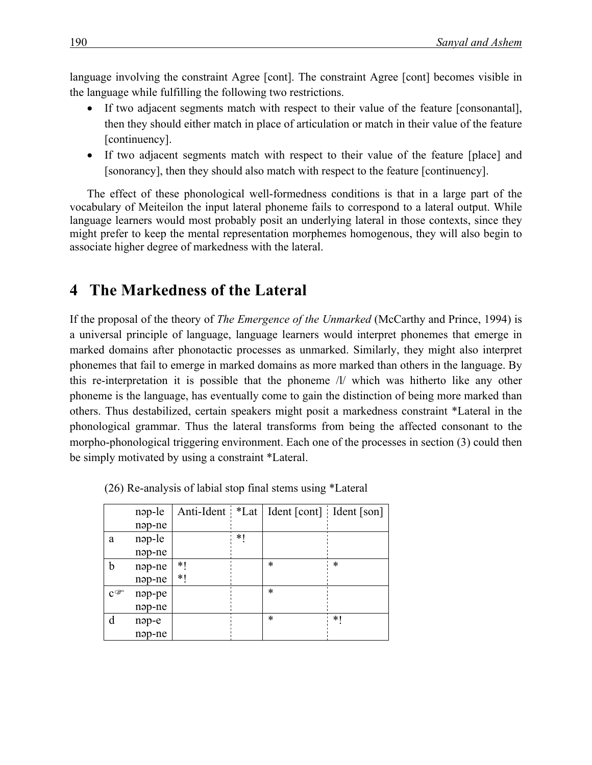language involving the constraint Agree [cont]. The constraint Agree [cont] becomes visible in the language while fulfilling the following two restrictions.

- If two adjacent segments match with respect to their value of the feature [consonantal], then they should either match in place of articulation or match in their value of the feature [continuency].
- If two adjacent segments match with respect to their value of the feature [place] and [sonorancy], then they should also match with respect to the feature [continuency].

The effect of these phonological well-formedness conditions is that in a large part of the vocabulary of Meiteilon the input lateral phoneme fails to correspond to a lateral output. While language learners would most probably posit an underlying lateral in those contexts, since they might prefer to keep the mental representation morphemes homogenous, they will also begin to associate higher degree of markedness with the lateral.

# **4 The Markedness of the Lateral**

If the proposal of the theory of *The Emergence of the Unmarked* (McCarthy and Prince, 1994) is a universal principle of language, language learners would interpret phonemes that emerge in marked domains after phonotactic processes as unmarked. Similarly, they might also interpret phonemes that fail to emerge in marked domains as more marked than others in the language. By this re-interpretation it is possible that the phoneme /l/ which was hitherto like any other phoneme is the language, has eventually come to gain the distinction of being more marked than others. Thus destabilized, certain speakers might posit a markedness constraint \*Lateral in the phonological grammar. Thus the lateral transforms from being the affected consonant to the morpho-phonological triggering environment. Each one of the processes in section (3) could then be simply motivated by using a constraint \*Lateral.

|                                    | nap-le |    |    | Anti-Ident *Lat   Ident [cont] Ident [son] |    |
|------------------------------------|--------|----|----|--------------------------------------------|----|
|                                    | nap-ne |    |    |                                            |    |
| a                                  | nap-le |    | *1 |                                            |    |
|                                    | nap-ne |    |    |                                            |    |
| h                                  | nap-ne | *1 |    | $\ast$                                     | *  |
|                                    | nəp-ne | *1 |    |                                            |    |
| $\mathbf{C}^{\mathcal{G}^{\!n}\!}$ | nap-pe |    |    | $\ast$                                     |    |
|                                    | nəp-ne |    |    |                                            |    |
| d                                  | nəp-e  |    |    | *                                          | *1 |
|                                    | nəp-ne |    |    |                                            |    |

(26) Re-analysis of labial stop final stems using \*Lateral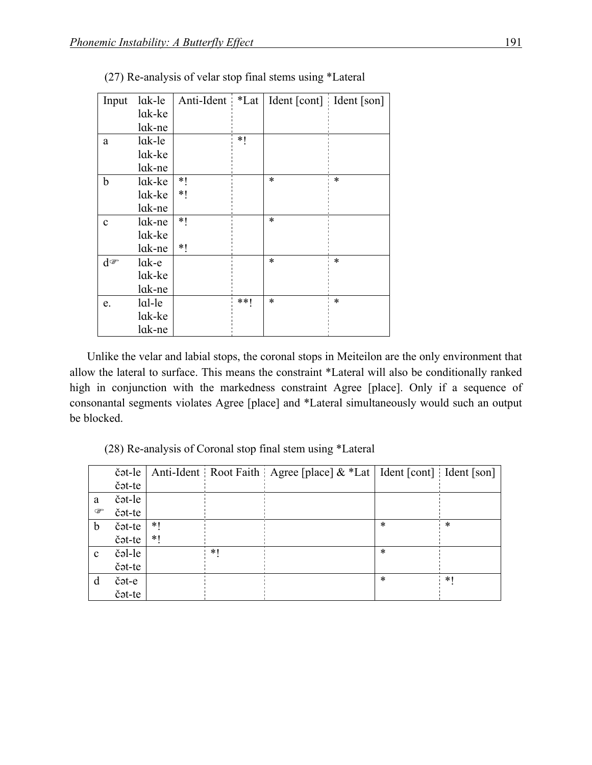| Input        | lak-le  | Anti-Ident *Lat |       | Ident [cont] Ident [son] |        |
|--------------|---------|-----------------|-------|--------------------------|--------|
|              | lak-ke  |                 |       |                          |        |
|              | lak-ne  |                 |       |                          |        |
| a            | lak-le  |                 | $*1$  |                          |        |
|              | lak-ke  |                 |       |                          |        |
|              | lak-ne  |                 |       |                          |        |
| b            | lak-ke  | *               |       | $\ast$                   | $\ast$ |
|              | lak-ke  | *               |       |                          |        |
|              | lak-ne  |                 |       |                          |        |
| $\mathbf c$  | lak-ne  | $*$             |       | $\ast$                   |        |
|              | lak-ke  |                 |       |                          |        |
|              | lak-ne  | *               |       |                          |        |
| $d^{\sigma}$ | $lak-e$ |                 |       | $\ast$                   | $\ast$ |
|              | lak-ke  |                 |       |                          |        |
|              | lak-ne  |                 |       |                          |        |
| e.           | lal-le  |                 | $**!$ | $\ast$                   | $\ast$ |
|              | lak-ke  |                 |       |                          |        |
|              | lak-ne  |                 |       |                          |        |

(27) Re-analysis of velar stop final stems using \*Lateral

Unlike the velar and labial stops, the coronal stops in Meiteilon are the only environment that allow the lateral to surface. This means the constraint \*Lateral will also be conditionally ranked high in conjunction with the markedness constraint Agree [place]. Only if a sequence of consonantal segments violates Agree [place] and \*Lateral simultaneously would such an output be blocked.

(28) Re-analysis of Coronal stop final stem using \*Lateral

|              | čət-le |       |     | Anti-Ident Root Faith Agree [place] & *Lat   Ident [cont] Ident [son] |        |        |
|--------------|--------|-------|-----|-----------------------------------------------------------------------|--------|--------|
|              | čət-te |       |     |                                                                       |        |        |
| a            | čət-le |       |     |                                                                       |        |        |
| ☞            | čət-te |       |     |                                                                       |        |        |
| $\mathbf b$  | čət-te | $*1$  |     |                                                                       | *      | $\ast$ |
|              | čət-te | $*$ ( |     |                                                                       |        |        |
| $\mathbf{c}$ | čəl-le |       | $*$ |                                                                       | $\ast$ |        |
|              | čət-te |       |     |                                                                       |        |        |
| d            | čət-e  |       |     |                                                                       | *      | $*1$   |
|              | čət-te |       |     |                                                                       |        |        |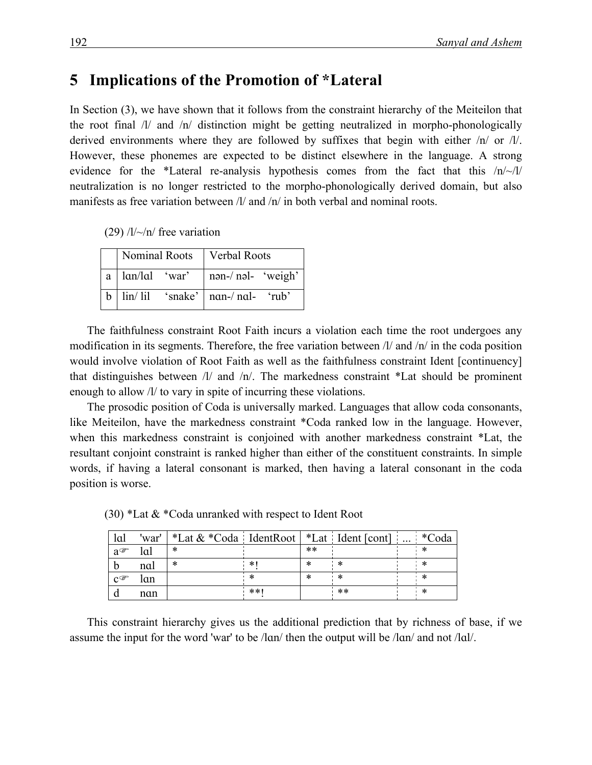## **5** Implications of the Promotion of \*Lateral

In Section (3), we have shown that it follows from the constraint hierarchy of the Meiteilon that the root final /l/ and /n/ distinction might be getting neutralized in morpho-phonologically derived environments where they are followed by suffixes that begin with either /n/ or /l/. However, these phonemes are expected to be distinct elsewhere in the language. A strong evidence for the \*Lateral re-analysis hypothesis comes from the fact that this /n/~/l/ neutralization is no longer restricted to the morpho-phonologically derived domain, but also manifests as free variation between  $\frac{1}{a}$  and  $\frac{1}{n}$  in both verbal and nominal roots.

(29)  $/l/\sim/n$  free variation

|                              | Nominal Roots   Verbal Roots                                                                         |  |
|------------------------------|------------------------------------------------------------------------------------------------------|--|
| $a \mid \text{lan/la}$ 'war' | $\ln 2 - \ln 1$ weigh                                                                                |  |
|                              | $b \mid \text{lin}/\text{li}1 \quad \text{'subset'} \mid \text{nan-}/\text{nal-} \quad \text{'rub'}$ |  |

The faithfulness constraint Root Faith incurs a violation each time the root undergoes any modification in its segments. Therefore, the free variation between /l/ and /n/ in the coda position would involve violation of Root Faith as well as the faithfulness constraint Ident [continuency] that distinguishes between /l/ and /n/. The markedness constraint \*Lat should be prominent enough to allow /l/ to vary in spite of incurring these violations.

The prosodic position of Coda is universally marked. Languages that allow coda consonants, like Meiteilon, have the markedness constraint \*Coda ranked low in the language. However, when this markedness constraint is conjoined with another markedness constraint \*Lat, the resultant conjoint constraint is ranked higher than either of the constituent constraints. In simple words, if having a lateral consonant is marked, then having a lateral consonant in the coda position is worse.

| lal               | 'war' | $\frac{1}{2}$ *Lat & *Coda IdentRoot $\frac{1}{2}$ *Lat Ident [cont] |     |       |      | $\cdots$ | $*C_{\Omega}$ da |
|-------------------|-------|----------------------------------------------------------------------|-----|-------|------|----------|------------------|
| $a^{\sigma}$      | lal   | ∗                                                                    |     | $***$ |      |          |                  |
|                   | nal   | ∗                                                                    | *   | ∗     | ∗    |          | ale.             |
| $C^{\mathcal{F}}$ | lɑn   |                                                                      |     | ∗     | ∗    |          | ∗                |
|                   | nan   |                                                                      | **1 |       | $**$ |          | ∗                |

(30) \*Lat & \*Coda unranked with respect to Ident Root

This constraint hierarchy gives us the additional prediction that by richness of base, if we assume the input for the word 'war' to be /lɑn/ then the output will be /lɑn/ and not /lɑl/.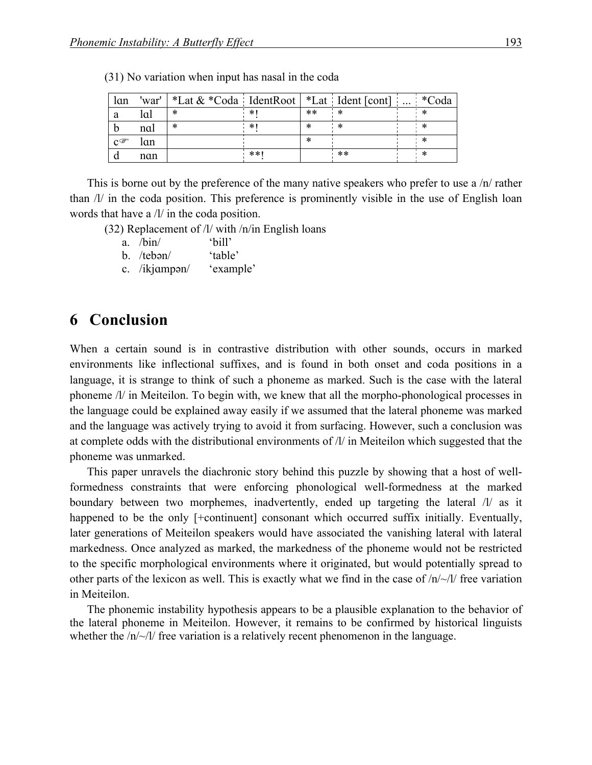| lan               | 'war' | *Lat $&$ *Coda IdentRoot   *Lat Ident [cont] |     |       |       | $\cdots$ | *Coda |
|-------------------|-------|----------------------------------------------|-----|-------|-------|----------|-------|
| a                 | lal   | ∗                                            | * ∖ | $***$ | *     |          |       |
|                   | nal   | *                                            | *'  |       |       |          |       |
| $C^{\mathcal{F}}$ | lan   |                                              |     | ж     |       |          |       |
|                   | nan   |                                              | **! |       | $***$ |          | ⋇     |

(31) No variation when input has nasal in the coda

This is borne out by the preference of the many native speakers who prefer to use a  $/n/$  rather than /l/ in the coda position. This preference is prominently visible in the use of English loan words that have a /l/ in the coda position.

(32) Replacement of /l/ with /n/in English loans

- a. /bin/ 'bill'
- b. /tebən/ 'table'
- c. /ikjɑmpən/ 'example'

# **6** Conclusion

When a certain sound is in contrastive distribution with other sounds, occurs in marked environments like inflectional suffixes, and is found in both onset and coda positions in a language, it is strange to think of such a phoneme as marked. Such is the case with the lateral phoneme /l/ in Meiteilon. To begin with, we knew that all the morpho-phonological processes in the language could be explained away easily if we assumed that the lateral phoneme was marked and the language was actively trying to avoid it from surfacing. However, such a conclusion was at complete odds with the distributional environments of /l/ in Meiteilon which suggested that the phoneme was unmarked.

This paper unravels the diachronic story behind this puzzle by showing that a host of wellformedness constraints that were enforcing phonological well-formedness at the marked boundary between two morphemes, inadvertently, ended up targeting the lateral /l/ as it happened to be the only [+continuent] consonant which occurred suffix initially. Eventually, later generations of Meiteilon speakers would have associated the vanishing lateral with lateral markedness. Once analyzed as marked, the markedness of the phoneme would not be restricted to the specific morphological environments where it originated, but would potentially spread to other parts of the lexicon as well. This is exactly what we find in the case of /n/~/l/ free variation in Meiteilon.

The phonemic instability hypothesis appears to be a plausible explanation to the behavior of the lateral phoneme in Meiteilon. However, it remains to be confirmed by historical linguists whether the  $/n \sim 1$  free variation is a relatively recent phenomenon in the language.